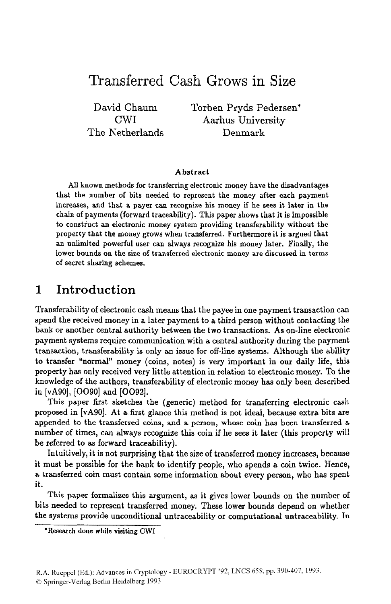# Transferred Cash Grows in Size

The Netherlands Denmark

David Chaum Torben Pryds Pedersen\* CWI Aarhus University

#### Abstract

All known methods for transferring electronic money have the disadvantages that the number of bits needed to represent the money after each payment increases, and that **a** payer can recognize his **money** if **he** sees **it** later in **the**  chain of payments (forward traceability). This paper shows that it is impossible to construct an electronic money system providing transferability without the property that the money grows when transferred. Furthermore it is argued that **an** unlimited powerful user can always recognize his money later. Finally, the lower bounds on the size of transferred electronic **money are** discussed in **terms**  of secret sharing schemes.

## 1 Introduction

Transferability of electronic cash means that the payee in one payment transaction can spend the received money in a later payment to **a** third person without contacting the **bank** or another central authority between the two transactions. As on-line electronic payment systems require communication with a central authority during the payment transaction, transferability is only an **issuc** for off-line systems. Although the ability to transfer 'normal" money (coins, notes) is very important in our daily life, this property has only received very little attention in relation to electronic money. To the knowledge of the authors, transferability of electronic money has only been described in [vA90], [0090] and **[0092].** 

This paper first sketches the (generic) method for transferring electronic cash proposed in [vA90]. At a-first glance this method is not ideal, because extra bits are appended to the **transferred** coins, **and a person, whose** coin **has been** transferred **a**  number of times, can always recognize this coin if he sees it later (this property will be referred to **as** forward traceability).

Intuitively, it is not surprising that the size of transferred money increases, because it must be possible for the **bank** to identify people, who spends **a** coin twice. Hence, a transferred coin must contain some information about every person, who has spent it.

This paper formalizes this argument, **as** it gives lower **bounds** on the number of bits needed to represent transferred money. These lower bounds depend on whether the systems provide unconditional untraceability or computational untraceability. In

<sup>&#</sup>x27;Research **done** while visiting CWI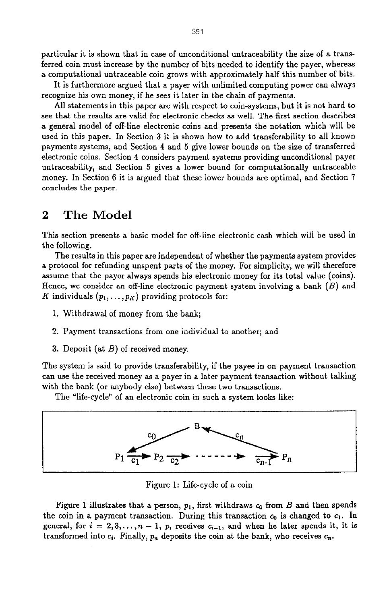particular it is shown that in case of unconditional untraceability the size of a transferred coin must increase by the number of bits needed to identify the payer, whereas a computational untraceable coin grows with approximately half this number of bits.

It is furthermore argued that a payer with unlimited computing power can always recognize his own money, if he sees it later in the chain of payments.

All statements in this paper are with respect to coin-systems, but it is not hard to **see** that the results are valid for electronic checks **as** well. The first section describes a general model of off-line electronic coins and presents the notation which will be used in this paper. In Section **3** it is shown how to add transferability to all known payments systems, and Section **4** and 5 give lower bounds on the size of transferred electronic coins. Section **4** considers payment systems providing unconditional payer untraceability, and Section *5* gives a lower bound for computationally untraceable money. In Section 6 it is argued that these lower bounds are optimal, and Section 7 concludes the paper.

## **2 The Model**

This section presents a basic model **for** off-line electronic cash which will be used in the following.

The results in this paper are independent of whether the payments system provides a protocol for refunding unspent parts of the money. For simplicity, we will therefore assume that the payer always spends his electronic money for its total value (coins). Hence, we consider **an** off-line electronic payment system involving **a** bank *(8)* and *K* individuals  $(p_1, \ldots, p_K)$  providing protocols for:

- 1. Withdrawal of money from the bank;
- 2. **Payment transactions** from one individual to another; **and**
- **3.** Deposit (at *B)* of received money.

The system is said to provide transferability, if the payee in on payment transaction can use the received money **as** a payer in a later payment transaction without talking with the bank (or anybody else) between these two transactions.

The "life-cycle" of an electronic coin in such a system looks like:



Figure 1: Life-cycle of a coin

Figure 1 illustrates that a person,  $p_1$ , first withdraws  $c_0$  from  $B$  and then spends the coin in a payment transaction. During this transaction  $c_0$  is changed to  $c_1$ . In general, for  $i = 2, 3, ..., n - 1$ ,  $p_i$  receives  $c_{i-1}$ , and when he later spends it, it is transformed into  $c_i$ . Finally,  $p_n$  deposits the coin at the bank, who receives  $c_n$ .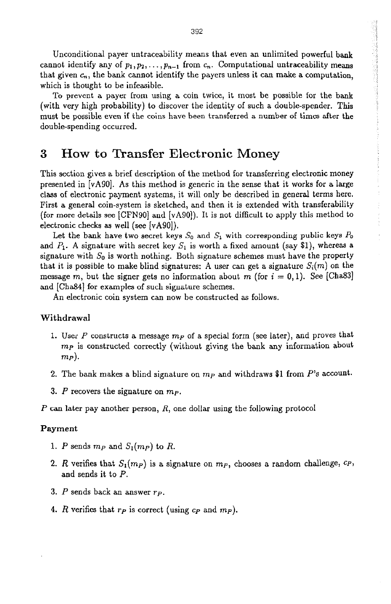Unconditional payer untraceability means that even an unlimited powerful bank cannot identify any of  $p_1, p_2, \ldots, p_{n-1}$  from  $c_n$ . Computational untraceability means that given  $c_n$ , the bank cannot identify the payers unless it can make a computation, which is thought to be infeasible.

「South String」ということに、「この人」の「Content String」ということには、「この人」ということには、「この人」ということには、「この人」ということには、「この人」ということ

 $\frac{1}{2}$  $\frac{1}{2}$  $\label{eq:1} \frac{1}{2} \left( \frac{1}{2} \right) \left( \frac{1}{2} \right) \left( \frac{1}{2} \right)$ 

To prevent **a payer** Lorn using **a** coin twice, it most be possible for the **bank**  (with very high probability) to discover the identity of such a double-spender. This must be possible even **if the coins have been transferred a number of** timcs after the double-spending occurred.

## **3 How to** Transfer **Electronic Money**

This section gives a brief description of the method for transferring electronic money presented in [vA90]. As this method is generic in the sense that it works for a large class of electronic payment systems, it will only be described in general terms here. First a general coin-system is sketched, and then it is extended with transferability **(for more** details *see* (CFNSO] **and** [vh90]). It is not difficult to apply this method to electronic checks **as** well (see [vA90]).

Let the bank have two secret keys  $S_0$  and  $S_1$  with corresponding public keys  $P_0$ and  $P_1$ . A signature with secret key  $S_1$  is worth a fixed amount (say \$1), whereas a signature with *So* is worth nothing. Both signature schemes must have the property that it is possible to make blind signatures: A user can get a signature  $S_i(m)$  on the message *m*, but the signer gets no information about *m* (for  $i = 0, 1$ ). See [Cha83] and [Cha84] **for examples of** such signature schemes.

**An** electronic coin system can now be constructed **as** follows.

### **Withdrawal**

- 1. **Usex** *P* constructs a message *mp* of a special form (see later), and proves that *mp* is constructed correctly (without giving the bank any information about *mp).*
- 2. The bank makes a blind signature on *mp* and withdraws \$1 from *P's* account.
- **3.** *P* recovers the signature on *mp.*

*P* **can** later pay another person, *R,* one dollar using the following protocol

### **Payment**

- 1. *P* sends  $m_P$  and  $S_1(m_P)$  to *R*.
- 2. *R* verifies that  $S_1(m_p)$  is a signature on  $m_p$ , chooses a random challenge,  $c_p$ , and sends it to *P.*
- **3.** *P* sends back an answer *rp.*
- **4.** *R* verifies that *rp* is correct (using *cp* and *mp).*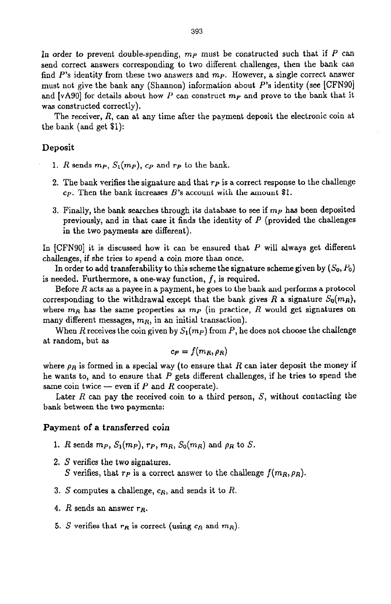In order to prevent double-spending, *mp* must be constructed such that if *P* can send correct answers corresponding to two different challenges, then the bank can find *P's* identity from these two answers and mp. However, a single correct **answer**  must not give the bank any (Shannon) information about *P's* identity (see [CFNSO] and  $[vA90]$  for details about how *P* can construct  $m_P$  and prove to the bank that it was constructed correctly).

The receiver, *R,* can at any time after the payment deposit the electronic coin at the bank (and get \$1):

### **Deposit**

- 1. *R* sends  $m_P$ ,  $S_1(m_P)$ ,  $c_P$  and  $r_P$  to the bank.
- 2. The bank verifies the signature and that  $r<sub>P</sub>$  is a correct response to the challenge *cp.* Then the bank increases *B's* account **with** the amount \$1.
- **3.** Finally, the bank searches through its database to see if *mp* has been deposited previously, and in that case it finds the identity of *P* (provided the challenges **in** the two payments are different).

In [CFNSO] it is discussed how it can be ensured that *P* will always get different challenges, *if* she tries *to* spend *a* coin more than once.

In order to add transferability to this scheme the signature scheme given by  $(S_0, P_0)$ is needed. Furthermore, a one-way function, f, **is** required.

Before R acts **as** a payee in a payment, he goes to the bank and performs **a** protocol corresponding to the withdrawal except that the bank gives  $R$  **a** signature  $S_0(m_R)$ , where  $m_R$  has the same properties as  $m_P$  (in practice, R would get signatures on many different messages,  $m_R$ , in an initial transaction).

When *R* receives the coin given by  $S_1(m_P)$  from *P*, he does not choose the challenge at random, but as

$$
c_P = f(m_R, \rho_R)
$$

where  $\rho_R$  is formed in a special way (to ensure that *R* can later deposit the money if where  $\rho_R$  is formed in a special way (to ensure that *R* can later deposit the money if he wants to, and to ensure that *P* gets different challenges, if he tries to spend the same coin twice — even if *P* and *R* coope

Later *R* can pay the received **coin** to a third person, *S,* without contacting the bank between the two payments:

### **Payment of a transferred coin**

- 1. *R* sends  $m_P$ ,  $S_1(m_P)$ ,  $r_P$ ,  $m_R$ ,  $S_0(m_R)$  and  $\rho_R$  to S.
- 2. *S* **verifies** the *two* signatures. S verifies, that  $r_p$  is a correct answer to the challenge  $f(m_R, \rho_R)$ .
- **3.** S computes a challenge, *CR,* and sends it to *R.*
- 4.  $R$  sends an answer  $r_R$ .
- 5. S verifies that  $r_R$  is correct (using  $c_R$  and  $m_R$ ).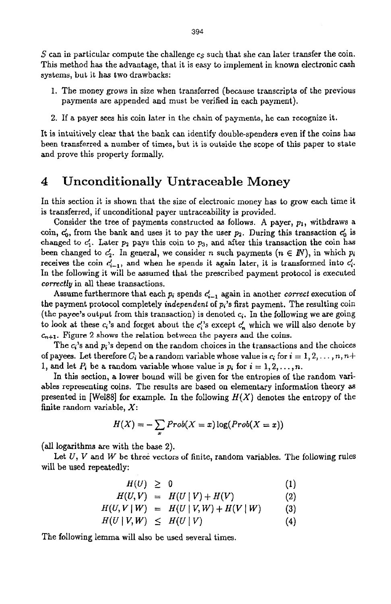S can in particular compute the challenge  $c_S$  such that she can later transfer the coin. This method has the advantage, that it is easy to implement in known electronic cash systems, but it **has** two drawbacks:

- 1. The money grows in size when transferred (because transcripts of the previous payments are appended and must be verified in each payment).
- **2.** If a payer **sees** his coin later in the chain *of* payments, he **can** recognize it.

It **is** intuitively clear that the **bank** can identify double-spenders even if the coins has been transferred a **number** of times, but it **is** outside the scope **of** this paper to state and prove this property formally.

## **4 Unconditionally Untraceable Money**

In this section it is shown that the size of electronic money has to **grow** each time it is transferred, if unconditional payer untraceability is provided.

Consider the tree of payments constructed **as** follows. **A** payer, *pl,* withdraws a coin,  $c'_0$ , from the bank and uses it to pay the user  $p_2$ . During this transaction  $c'_0$  is changed to  $c'_1$ . Later  $p_2$  pays this coin to  $p_3$ , and after this transaction the coin has been changed to  $c'_2$ . In general, we consider *n* such payments ( $n \in \mathbb{N}$ ), in which  $p_i$ receives the coin  $c'_{i-1}$ , and when he spends it again later, it is transformed into  $c'_{i}$ . In the following it will be assumed that the prescribed payment protocol is executed **correctly** in all these transactions.

Assume furthermore that each  $p_i$  spends  $c'_{i-1}$  again in another *correct* execution of the payment protocol completely independent of *pi's* first payment. The resulting coin (the payee's output from this transaction) is denoted **c,.** In the following we are going to look at these  $c_i$ 's and forget about the  $c'_i$ 's except  $c'_n$  which we will also denote by **c,,+I. Figure** 2 **shows the** relation betwccn the payers and the **coins.** 

The  $c_i$ 's and  $p_i$ 's depend on the random choices in the transactions and the choices of payees. Let therefore  $C_i$  be a random variable whose value is  $c_i$  for  $i = 1, 2, ..., n, n+1$ 1, and let  $P_i$  be a random variable whose value is  $p_i$  for  $i = 1, 2, \ldots, n$ .

In this section, a lower bound will be given for the entropies of the random variables representing coins. The results are based on elementary information theory as presented in [Wel88] for example. In the following  $H(X)$  denotes the entropy of the finite random variable,  $X$ :

$$
H(X) = -\sum_{x} Prob(X = x) log(Prob(X = x))
$$

**(all** logarithms are with the base 2).

will be used repeatedly: Let  $U, V$  and  $W$  be three vectors of finite, random variables. The following rules

$$
H(U) \geq 0 \tag{1}
$$

$$
H(U,V) = H(U | V) + H(V) \tag{2}
$$

$$
H(U, V | W) = H(U | V, W) + H(V | W)
$$
 (3)

$$
H(U | V, W) \leq H(U | V) \tag{4}
$$

The following lemma will also be used several times.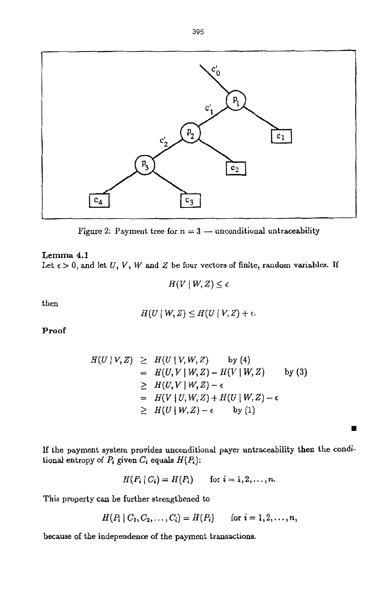

**Figure 2:** Payment tree for  $n = 3$  — unconditional untraceability

**Lemma 4.1** 

Let  $\epsilon > 0$ , and let  $U, V, W$  and  $Z$  be four vectors of finite, random variables. If

 $H(V | W, Z) \leq \epsilon$ 

**then** 

$$
H(U \mid W, Z) \leq H(U \mid V, Z) + \epsilon.
$$

**Proof** 

$$
H(U | V, Z) \geq H(U | V, W, Z) \qquad \text{by (4)}
$$
  
=  $H(U, V | W, Z) - H(V | W, Z)$  by (3)  
 $\geq H(U, V | W, Z) - \epsilon$   
=  $H(V | U, W, Z) + H(U | W, Z) - \epsilon$   
 $\geq H(U | W, Z) - \epsilon$  by (1)

**If the payment system provides unconditional payer untraceability then the conditional entropy of**  $P_i$  **given**  $C_i$  **equals**  $H(P_i)$ **:** 

 $H(P_i | C_i) = H(P_i)$  for  $i = 1, 2, ..., n$ .

**This property can be further strengthened** to

$$
H(P_i | C_1, C_2, \ldots, C_i) = H(P_i) \quad \text{for } i = 1, 2, \ldots, n,
$$

**because** of **the independence of the payment transactions.**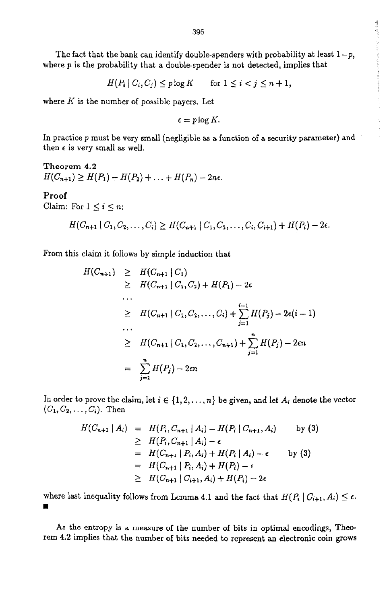建筑线

 $\label{eq:2.1} \mathcal{F} = \mathcal{F}_\text{c} \left[ \mathcal{F} \partial_t \mathcal{F} \partial_t \mathcal{F} \partial_t \mathcal{F} \partial_t \mathcal{F} \partial_t \mathcal{F} \partial_t \mathcal{F} \partial_t \mathcal{F} \partial_t \mathcal{F} \partial_t \mathcal{F} \partial_t \mathcal{F} \partial_t \mathcal{F} \partial_t \mathcal{F} \partial_t \mathcal{F} \partial_t \mathcal{F} \partial_t \mathcal{F} \partial_t \mathcal{F} \partial_t \mathcal{F} \partial_t \mathcal{F} \partial_t \mathcal{F} \partial_t \mathcal{F} \partial_t \$ 

The fact that the bank can identify double-spenders with probability at least  $1-p$ , where **p is** the probability that a double-spender is not detected, implies that

 $H(P_i | C_i, C_j) \leq p \log K$  for  $1 \leq i < j \leq n+1$ ,

where  $K$  is the number of possible payers. Let

 $\epsilon = p \log K.$ 

In practice *p* must be **very** small (negligible **as a** function of **a** security **parameter) and**  then  $\epsilon$  is very small as well.

### **Theorem 4.2**   $H(C_{n+1}) \geq H(P_1) + H(P_2) + \ldots + H(P_n) - 2n\epsilon.$

### **Proof**

Claim: For  $1 \leq i \leq n$ :

$$
H(C_{n+1} | C_1, C_2, \ldots, C_i) \geq H(C_{n+1} | C_1, C_2, \ldots, C_i, C_{i+1}) + H(P_i) - 2\epsilon.
$$

From this claim it follows by simple induction that

$$
H(C_{n+1}) \geq H(C_{n+1} | C_1)
$$
  
\n
$$
\geq H(C_{n+1} | C_1, C_2) + H(P_1) - 2\epsilon
$$
  
\n...  
\n
$$
\geq H(C_{n+1} | C_1, C_2, ..., C_i) + \sum_{j=1}^{i-1} H(P_j) - 2\epsilon(i-1)
$$
  
\n...  
\n
$$
\geq H(C_{n+1} | C_1, C_2, ..., C_{n+1}) + \sum_{j=1}^{n} H(P_j) - 2\epsilon n
$$
  
\n
$$
= \sum_{j=1}^{n} H(P_j) - 2\epsilon n
$$

In order to prove the claim, let  $i \in \{1, 2, ..., n\}$  be given, and let  $A_i$  denote the vector  $(C_1, C_2, \ldots, C_i)$ . Then

$$
H(C_{n+1} | A_i) = H(P_i, C_{n+1} | A_i) - H(P_i | C_{n+1}, A_i) \qquad \text{by (3)}
$$
  
\n
$$
\geq H(P_i, C_{n+1} | A_i) - \epsilon
$$
  
\n
$$
= H(C_{n+1} | P_i, A_i) + H(P_i | A_i) - \epsilon \qquad \text{by (3)}
$$
  
\n
$$
= H(C_{n+1} | P_i, A_i) + H(P_i) - \epsilon
$$
  
\n
$$
\geq H(C_{n+1} | C_{i+1}, A_i) + H(P_i) - 2\epsilon
$$

where last inequality follows from Lemma 4.1 and the fact that  $H(P_i | C_{i+1}, A_i) \leq \epsilon$ . **w** 

**As the** entropy **is a** measure **of** the number of bits in optimal encodings, Theo**rem 4.2** implies that the number of bits needed to represent **an** electronic **coin grows**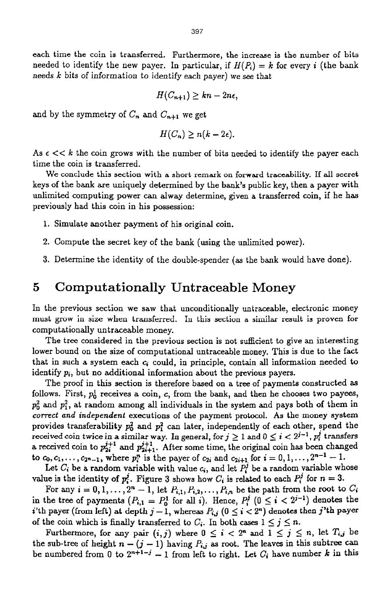each time the **coin** is transferred. Furthermore, **the** increase is the **number** of bits needed to identify the new payer. In particular, if  $H(P_i) = k$  for every *i* (the bank needs *k* bits of information to identify each payer) *we* see that

$$
H(C_{n+1}) \geq kn - 2n\epsilon,
$$

and by the symmetry of  $C_n$  and  $C_{n+1}$  we get

$$
H(C_n) \ge n(k-2\epsilon).
$$

As  $\epsilon \ll k$  the coin grows with the number of bits needed to identify the payer each time the coin is transferred.

We conclude this section with **a** short **remark on forward** traceability. **If all** secret keys of the bank are uniquely determined by the bank's public key, then a payer with unlimited computing power *can* alway determine, given a transferred coin, if he has previously had this coin in **his** possession:

- 1. Simulate another payment **of** his original coin.
- 2. Compute the secret key of the bank (using the unlimited power).
- **3.** Determine the identity of the double-spender **(as** the bank would have done).

## *<sup>5</sup>***Computationally Untraceable Money**

In the previous section we saw that unconditionally untraceable, electronic money must grow in **size** when transferred. **In** this section a **similar** result is proven **for**  computationally untraceable money.

The tree considered in the previous section is not **sufficient** to give an interesting lower bound on the size of computational untraceable money. This is due to the fact that in such a system each **y** could, in principle, contain **all** information needed to identify *pi,* but **no** additional information about the previous payers.

The proof in this section is therefore based on a tree of payments constructed as follows. First, *pb* receives a coin, *c,* from the bank, and then he chooses two payees, *pi* and *p:,* at random **among** all individuals in the system and pays both **of** them in *correct and independent* executions of the payment protocol. **As** the **money** system provides transferability *pi* and *pi* can later, independently of each other, spend the received coin twice in a similar way. In general, for  $j \geq 1$  and  $0 \leq i < 2^{j-1}$ ,  $p_i^j$  transfers a received coin to  $p_{2i}^{j+1}$  and  $p_{2i+1}^{j+1}$ . After some time, the original coin has been changed to  $c_0, c_1, \ldots, c_{2n-1}$ , where  $p_i^n$  is the payer of  $c_{2i}$  and  $c_{2i+1}$  for  $i = 0, 1, \ldots, 2^{n-1} - 1$ .

Let  $C_i$  be a random variable with value  $c_i$ , and let  $P_i^j$  be a random variable whose value is the identity of  $p_i^j$ . Figure 3 shows how  $C_i$  is related to each  $P_i^j$  for  $n = 3$ .

For any  $i = 0, 1, \ldots, 2^n - 1$ , let  $P_{i,1}, P_{i,2}, \ldots, P_{i,n}$  be the path from the root to  $C_i$ in the tree of payments  $(P_{i,1} = P_0^1$  for all i). Hence,  $P_i^j$   $(0 \le i < 2^{j-1})$  denotes the<br>i'th payer (from left) at depth  $j-1$ , whereas  $P_{i,j}$   $(0 \le i < 2^n)$  denotes then j'th payer<br>of the coin which is finally transfe

of the coin which is finally transferred to  $C_i$ . In both cases  $1 \leq j \leq n$ .<br>Furthermore, for any pair  $(i, j)$  where  $0 \leq i < 2^n$  and  $1 \leq j \leq n$ , let  $T_{i,j}$  be the sub-tree of height  $n - (j - 1)$  having  $P_{i,j}$  as root. The leaves in this subtree can be numbered from 0 to  $2^{n+1-j} - 1$  from left to right. Let  $C_i$  have number k in this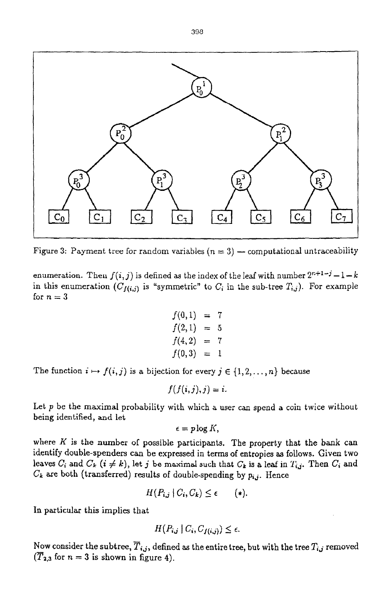

Figure 3: Payment tree for random variables  $(n = 3)$  — computational untraceability

enumeration. Then  $f(i, j)$  is defined as the index of the leaf with number  $2^{n+1-j} - 1 - k$ in this enumeration  $(C_{f(i,j)}$  is "symmetric" to  $C_i$  in the sub-tree  $T_{i,j}$ ). For example for  $n = 3$ 

$$
f(0,1) = 7\n f(2,1) = 5\n f(4,2) = 7\n f(0,3) = 1
$$

The function  $i \mapsto f(i, j)$  is a bijection for every  $j \in \{1, 2, ..., n\}$  because

 $f(f(i, j), j) = i.$ 

Let *p* be the maximal probability with which a user *can* spend *a* coin twice without being identified, and let

$$
\epsilon = p \log K,
$$

where  $K$  is the number of possible participants. The property that the bank can identify double-spenders **can** be expressed in terms of entropies **as** follows. Given two leaves  $C_i$  and  $C_k$  ( $i \neq k$ ), let *j* be maximal such that  $C_k$  is a leaf in  $T_{i,j}$ . Then  $C_i$  and  $C_k$  are both (transferred) results of double-spending by  $p_{i,j}$ . Hence

$$
H(P_{i,j} \mid C_i, C_k) \leq \epsilon \qquad (*)
$$

In puticular this implies that

$$
H(P_{i,j} \mid C_i, C_{f(i,j)}) \leq \epsilon.
$$

Now consider the subtree,  $\overline{T}_{i,j}$ , defined as the entire tree, but with the tree  $T_{i,j}$  removed  $(\overline{T}_{2,3} \text{ for } n=3 \text{ is shown in figure 4}).$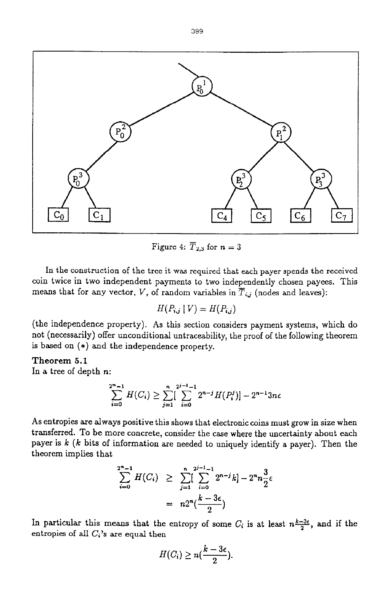

Figure 4:  $\overline{T}_{2,3}$  for  $n = 3$ 

**In** the construction of the tree it **was** required that each payer spends the received coin twice in two independent payments to two independently chosen payees. This means that for any vector, *V*, of random variables in  $\overline{T}_{i,j}$  (nodes and leaves):

$$
H(P_{i,j} \mid V) = H(P_{i,j})
$$

(the independence property). **As** this section considers payment systems, which do not (necessarily) offer unconditional untraceability, the proof of the following theorem is based on (\*) and the independence property.

**Theorem 5.1** 

In a tree of depth *n:* 

$$
\sum_{i=0}^{2^n-1} H(C_i) \ge \sum_{j=1}^n \left[ \sum_{i=0}^{2^{j-1}-1} 2^{n-j} H(P_i^j) \right] - 2^{n-1} 3n\epsilon
$$

**As** entropies are **always** positive this shows that electronic coins must grow in size when transferred. **TO** be more concrete, consider the case where the uncertainty about each payer is *k (k* bits **of** information are needed to uniquely identify a payer). Then the theorem implies that

$$
\sum_{i=0}^{2^{n}-1} H(C_{i}) \geq \sum_{j=1}^{n} \left[ \sum_{i=0}^{2^{j}-1} 2^{n-j} k \right] - 2^{n} n \frac{3}{2} \epsilon
$$

$$
= n2^{n} \left( \frac{k-3\epsilon}{2} \right)
$$

In particular this means that the entropy of some  $C_i$  is at least  $n\frac{k-3\epsilon}{2}$ , and if the **entropies** of **all** *Ci's* are equal then

$$
H(C_i)\geq n(\frac{k-3\epsilon}{2}).
$$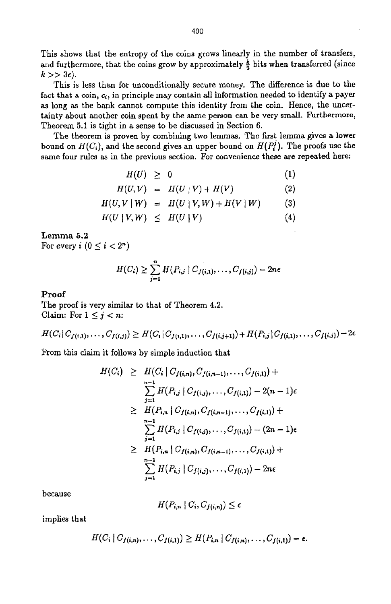This shows that the entropy of the coins grows linearly in the number of transfers, and furthermore, that the coins grow by approximately  $\frac{k}{2}$  bits when transferred (since  $k >> 3\epsilon$ ).

This is less than for unconditionally secure money. The difference is due to the **fact** that a **coin, q, in** principle **may** contain all information needed to identify a payer **as** long **as** the bank cannot compute this identity from the coin. Hence, the uncertainty about another **coin** spent by the **same person can** be very **small.** Furthermore, Theorem 5.1 is tight in a sense to be **discussed** in Section *6.* 

The theorem **is** proven by combining **two** lemmas. The first lemma givee a lower bound on  $H(C_i)$ , and the second gives an upper bound on  $H(P_i)$ . The proofs use the same four rules **as** in the previous section. For convenience theee are repeated here:

$$
H(U) \geq 0 \tag{1}
$$

$$
H(U,V) = H(U | V) + H(V) \qquad (2)
$$

$$
H(U, V | W) = H(U | V, W) + H(V | W)
$$
 (3)

$$
H(U | V, W) \leq H(U | V) \tag{4}
$$

**Lemma 5.2**  For every  $i$   $(0 \leq i < 2^n)$ 

$$
H(C_i) \geq \sum_{j=1}^n H(P_{i,j} \mid C_{f(i,1)}, \ldots, C_{f(i,j)}) - 2n\epsilon
$$

#### **Proof**

The proof **is** very similar to that of Theorem **4.2.**  Claim: For  $1 \leq j \leq n$ :

$$
H(C_i | C_{f(i,1)}, \ldots, C_{f(i,j)}) \geq H(C_i | C_{f(i,1)}, \ldots, C_{f(i,j+1)}) + H(P_{i,j} | C_{f(i,1)}, \ldots, C_{f(i,j)}) - 2\epsilon
$$

From this claim it **follows** by simple induction that

$$
H(C_i) \geq H(C_i | C_{f(i,n)}, C_{f(i,n-1)}, \ldots, C_{f(i,1)}) +
$$
  
\n
$$
\sum_{j=1}^{n-1} H(P_{i,j} | C_{f(i,j)}, \ldots, C_{f(i,1)}) - 2(n-1)\epsilon
$$
  
\n
$$
\geq H(P_{i,n} | C_{f(i,n)}, C_{f(i,n-1)}, \ldots, C_{f(i,1)}) +
$$
  
\n
$$
\sum_{j=1}^{n-1} H(P_{i,j} | C_{f(i,j)}, \ldots, C_{f(i,1)}) - (2n-1)\epsilon
$$
  
\n
$$
\geq H(P_{i,n} | C_{f(i,n)}, C_{f(i,n-1)}, \ldots, C_{f(i,1)}) +
$$
  
\n
$$
\sum_{j=1}^{n-1} H(P_{i,j} | C_{f(i,j)}, \ldots, C_{f(i,1)}) - 2n\epsilon
$$

because

$$
H(P_{i,n} \mid C_i, C_{f(i,n)}) \le \epsilon
$$

implies that

$$
H(C_i \mid C_{f(i,n)}, \ldots, C_{f(i,1)}) \geq H(P_{i,n} \mid C_{f(i,n)}, \ldots, C_{f(i,1)}) - \epsilon.
$$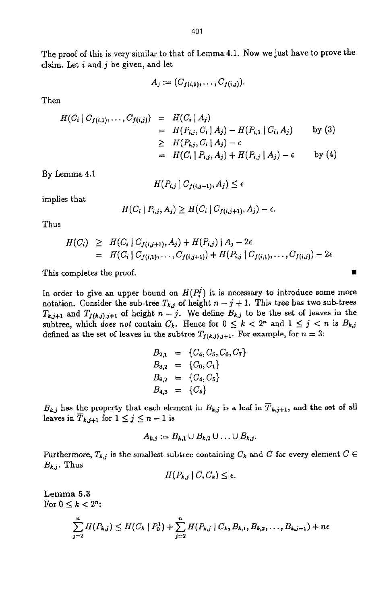The proof of this is very similar to that of Lemma 4.1. Now we just have to prove the claim. Let *i* and *j* be **given,** and let

$$
A_j:=(C_{f(i,1)},\ldots,C_{f(i,j)}).
$$

Then

$$
H(C_i | C_{f(i,1)},..., C_{f(i,j)}) = H(C_i | A_j)
$$
  
=  $H(P_{i,j}, C_i | A_j) - H(P_{i,1} | C_i, A_j)$  by (3)  

$$
\geq H(P_{i,j}, C_i | A_j) - \epsilon
$$
  
=  $H(C_i | P_{i,j}, A_j) + H(P_{i,j} | A_j) - \epsilon$  by (4)

By **Lemma 4.1** 

 $H(P_{i,j} | C_{f(i,j+1)}, A_j) \leq \epsilon$ 

implies that

$$
H(C_i \mid P_{i,j}, A_j) \geq H(C_i \mid C_{f(i,j+1)}, A_j) - \epsilon.
$$

Thus

$$
H(C_i) \geq H(C_i | C_{f(i,j+1)}, A_j) + H(P_{i,j}) | A_j - 2\epsilon
$$
  
=  $H(C_i | C_{f(i,1)},..., C_{f(i,j+1)}) + H(P_{i,j} | C_{f(i,1)},..., C_{f(i,j)}) - 2\epsilon$ 

This completes the proof.

In order to give an upper bound on  $H(P_i^j)$  it is necessary to introduce some more notation. Consider the sub-tree  $T_{k,j}$  of height  $n - j + 1$ . This tree has two sub-trees  $T_{k,j+1}$  and  $T_{f(k,j),j+1}$  of height  $n-j$ . We define  $B_{k,j}$  to be the set of leaves in the subtree, which *does not* contain  $C_k$ . Hence for  $0 \leq k < 2^n$  and  $1 \leq j < n$  is  $B_{k,j}$ defined as the set of leaves in the subtree  $T_{f(k,j),j+1}$ . For example, for  $n=3$ :

$$
B_{2,1} = \{C_4, C_5, C_6, C_7\}
$$
  
\n
$$
B_{3,2} = \{C_0, C_1\}
$$
  
\n
$$
B_{6,2} = \{C_4, C_5\}
$$
  
\n
$$
B_{4,3} = \{C_5\}
$$

 $B_{kj}$  has the property that each element in  $B_{kj}$  is a leaf in  $\overline{T}_{kj+1}$ , and the set of all leaves in  $\overline{T}_{k,j+1}$  for  $1 \leq j \leq n-1$  is

$$
A_{k,j} := B_{k,1} \cup B_{k,2} \cup \ldots \cup B_{k,j}.
$$

Furthermore,  $T_{k,j}$  is the smallest subtree containing  $C_k$  and  $C$  for every element  $C \in$ *Bkj.* Thus

$$
H(P_{k,j} \mid C, C_k) \leq \epsilon.
$$

**Lemma 5.3**  For  $0 \le k < 2^n$ :<br> $\sum_{i=2}^n H(P_{k,j}) \le H(C_k | P_0^1) + \sum_{i=2}^n H(P_{k,j} | C_k, B_{k,1}, B_{k,2}, \ldots, B_{k,j-1}) + n\epsilon$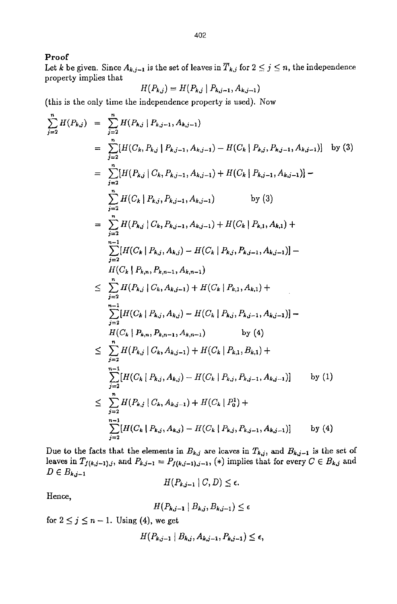### **Proof**

Let *k* be given. Since  $A_{k,j-1}$  is the set of leaves in  $\overline{T}_{k,j}$  for  $2 \leq j \leq n$ , the independence property implies that

$$
H(P_{k,j}) = H(P_{k,j} | P_{k,j-1}, A_{k,j-1})
$$

(this is the only time the independence property is used). Now

$$
\sum_{j=2}^{n} H(P_{kj}) = \sum_{j=2}^{n} H(P_{kj} | P_{kj-1}, A_{kj-1})
$$
\n
$$
= \sum_{j=2}^{n} [H(C_k, P_{kj} | P_{kj-1}, A_{kj-1}) - H(C_k | P_{kj}, P_{kj-1}, A_{kj-1})] \text{ by (3)}
$$
\n
$$
= \sum_{j=2}^{n} [H(P_{kj} | C_k, P_{kj-1}, A_{kj-1}) + H(C_k | P_{k,j-1}, A_{kj-1})] - \sum_{j=2}^{n} H(C_k | P_{kj}, P_{k,j-1}, A_{k,j-1}) \text{ by (3)}
$$
\n
$$
= \sum_{j=2}^{n} H(P_{kj} | C_k, P_{k,j-1}, A_{k,j-1}) + H(C_k | P_{k,1}, A_{k,1}) + \sum_{j=2}^{n-1} [H(C_k | P_{kj}, A_{kj}) - H(C_k | P_{kj}, P_{kj-1}, A_{k,j-1})] - \sum_{j=2}^{n} [H(C_k | P_{k,j}, A_{k,j}) - H(C_k | P_{k,j}, P_{k,j-1}, A_{k,j-1})] - \sum_{j=2}^{n} H(P_{kj} | C_k, A_{kj-1}) + H(C_k | P_{k,1}, A_{k,1}) + \sum_{j=2}^{n-1} [H(C_k | P_{k,j}, A_{k,j}) - H(C_k | P_{k,j}, P_{k,j-1}, A_{k,j-1})] - \sum_{j=2}^{n-1} [H(C_k | P_{k,j}, A_{k,j-1}) + H(C_k | P_{k,1}, B_{k,1}) + \sum_{j=2}^{n-1} [H(C_k | P_{k,j}, A_{k,j-1}) + H(C_k | P_{k,1}, B_{k,1}) + \sum_{j=2}^{n-1} [H(C_k | P_{k,j}, A_{k,j}) - H(C_k | P_{k,j}, P_{k,j-1}, A_{k,j-1})] \text{ by (1)}
$$
\n
$$
\leq \sum_{j=2}^{n} H(P_{k,j} | C_k, A_{k,j-1}) + H(C_k | P_{k,j}, P_{k,j-1}, A_{k,j-1})] \text{ by (4)}
$$

Due to the facts that the elements in  $B_{k,j}$  are leaves in  $T_{k,j}$ , and  $B_{k,j-1}$  is the set of leaves in  $T_{f(k,j-1),j}$ , and  $P_{k,j-1} = P_{f(k,j-1),j-1}$ ,  $(*)$  implies that for every  $C \in B_{k,j}$  and

$$
H(P_{k,j-1} \mid C, D) \le \epsilon
$$

Hence,

$$
H(P_{k,j-1} \mid B_{k,j}, B_{k,j-1}) \le \epsilon
$$

for  $2 \leq j \leq n-1$ . Using (4), we get

$$
H(P_{k,j-1} \mid B_{k,j}, A_{k,j-1}, P_{k,j-1}) \leq \epsilon,
$$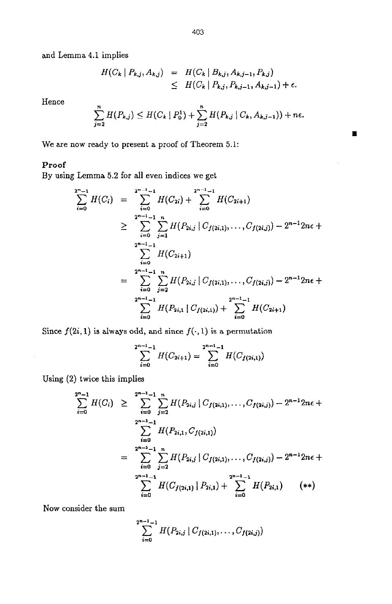and Lemma 4.1 implies

$$
H(C_k | P_{k,j}, A_{k,j}) = H(C_k | B_{k,j}, A_{k,j-1}, P_{k,j})
$$
  
\n
$$
\leq H(C_k | P_{k,j}, P_{k,j-1}, A_{k,j-1}) + \epsilon.
$$

Hence

$$
\sum_{j=2}^n H(P_{k,j}) \leq H(C_k | P_0^1) + \sum_{j=2}^n H(P_{k,j} | C_k, A_{k,j-1})) + n\epsilon.
$$

 $\blacksquare$ 

We are now ready to present a proof of Theorem 5.1:

### **Proof**

By using Lemma 5.2 for all even indices we get

$$
\sum_{i=0}^{2^{n}-1} H(C_i) = \sum_{i=0}^{2^{n-1}-1} H(C_{2i}) + \sum_{i=0}^{2^{n-1}-1} H(C_{2i+1})
$$
  
\n
$$
\geq \sum_{i=0}^{2^{n-1}-1} \sum_{j=1}^{n} H(P_{2i,j} | C_{f(2i,1)}, \ldots, C_{f(2i,j)}) - 2^{n-1}2n\epsilon + \sum_{i=0}^{2^{n-1}-1} H(C_{2i+1})
$$
  
\n
$$
= \sum_{i=0}^{2^{n-1}-1} \sum_{j=2}^{n} H(P_{2i,j} | C_{f(2i,1)}, \ldots, C_{f(2i,j)}) - 2^{n-1}2n\epsilon + \sum_{i=0}^{2^{n-1}-1} H(P_{2i,1} | C_{f(2i,1)}) + \sum_{i=0}^{2^{n-1}-1} H(C_{2i+1})
$$

Since  $f(2i, 1)$  is always odd, and since  $f(\cdot, 1)$  is a permutation

$$
\sum_{i=0}^{2^{n-1}-1} H(C_{2i+1}) = \sum_{i=0}^{2^{n-1}-1} H(C_{f(2i,1)})
$$

Using (2) twice this implies

$$
\sum_{i=0}^{2^{n}-1} H(C_i) \geq \sum_{i=0}^{2^{n}-1} \sum_{j=2}^{n} H(P_{2i,j} | C_{f(2i,1)}, \ldots, C_{f(2i,j)}) - 2^{n-1}2n\epsilon + \sum_{i=0}^{2^{n}-1} H(P_{2i,1}, C_{f(2i,1)})
$$
  

$$
= \sum_{i=0}^{2^{n-1}-1} \sum_{j=2}^{n} H(P_{2i,j} | C_{f(2i,1)}, \ldots, C_{f(2i,j)}) - 2^{n-1}2n\epsilon + \sum_{i=0}^{2^{n-1}-1} H(C_{f(2i,1)} | P_{2i,1}) + \sum_{i=0}^{2^{n-1}-1} H(P_{2i,1}) \qquad (*)
$$

Now consider the sum

$$
\sum_{i=0}^{2^{n-1}-1} H(P_{2i,j} \mid C_{f(2i,1)},\ldots,C_{f(2i,j)})
$$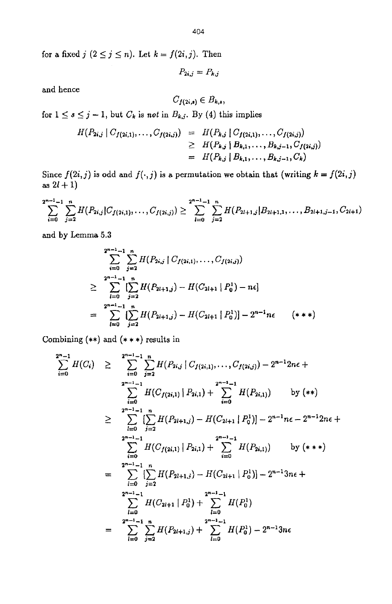for a fixed  $j$   $(2 \leq j \leq n)$ . Let  $k = f(2i, j)$ . Then

$$
P_{2i,j}=P_{k,j}
$$

and hence

$$
C_{f(2i,s)} \in B_{k,s},
$$

for  $1 \leq s \leq j-1$ , but  $C_k$  is not in  $B_{k,j}$ . By (4) this implies

$$
H(P_{2i,j} | C_{f(2i,1)},..., C_{f(2i,j)}) = H(P_{k,j} | C_{f(2i,1)},..., C_{f(2i,j)})
$$
  
\n
$$
\geq H(P_{k,j} | B_{k,1},..., B_{k,j-1}, C_{f(2i,j)})
$$
  
\n
$$
= H(P_{k,j} | B_{k,1},..., B_{k,j-1}, C_k)
$$

Since  $f(2i,j)$  is odd and  $f(\cdot,j)$  is a permutation we obtain that (writing  $k = f(2i,j)$ as  $2l + 1$ )

$$
\sum_{i=0}^{2^{n-1}-1} \sum_{j=2}^{n} H(P_{2i,j}|C_{f(2i,1)},\ldots,C_{f(2i,j)}) \geq \sum_{i=0}^{2^{n-1}-1} \sum_{j=2}^{n} H(P_{2i+1,j}|B_{2i+1,1},\ldots,B_{2i+1,j-1},C_{2i+1})
$$

and by Lemma 5.3

$$
\sum_{i=0}^{2^{n-1}-1} \sum_{j=2}^{n} H(P_{2i,j} | C_{f(2i,1)}, \ldots, C_{f(2i,j)})
$$
\n
$$
\geq \sum_{i=0}^{2^{n-1}-1} \sum_{j=2}^{n} H(P_{2i+1,j}) - H(C_{2i+1} | P_0^1) - n\epsilon]
$$
\n
$$
= \sum_{i=0}^{2^{n-1}-1} \sum_{j=2}^{n} H(P_{2i+1,j}) - H(C_{2i+1} | P_0^1) - 2^{n-1}n\epsilon \qquad (***)
$$

Combining (\*\*) and (\* • \*) results in

$$
\sum_{i=0}^{2^{n}-1} H(C_i) \geq \sum_{i=0}^{2^{n}-1} \sum_{j=2}^{n} H(P_{2i,j} | C_{f(2i,1)}, \dots, C_{f(2i,j)}) - 2^{n-1} 2n\epsilon +
$$
  
\n
$$
\sum_{i=0}^{2^{n}-1} H(C_{f(2i,1)} | P_{2i,1}) + \sum_{i=0}^{2^{n}-1} H(P_{2i,1})
$$
 by  $(**)$   
\n
$$
\geq \sum_{i=0}^{2^{n}-1} \sum_{j=2}^{n} [ \sum_{j=2}^{n} H(P_{2i+1,j}) - H(C_{2i+1} | P_0^1)] - 2^{n-1} n\epsilon - 2^{n-1} 2n\epsilon +
$$
  
\n
$$
\sum_{i=0}^{2^{n}-1} \sum_{j=2}^{2^{n}-1} H(C_{f(2i,1)} | P_{2i,1}) + \sum_{i=0}^{2^{n}-1} H(P_{2i,1})
$$
 by  $(***)$   
\n
$$
= \sum_{i=0}^{2^{n}-1} \sum_{j=2}^{n} [ \sum_{j=2}^{n} H(P_{2i+1,j}) - H(C_{2i+1} | P_0^1)] - 2^{n-1} 3n\epsilon +
$$
  
\n
$$
\sum_{i=0}^{2^{n}-1} \sum_{j=2}^{2^{n}-1-1} H(C_{2i+1} | P_0^1) + \sum_{i=0}^{2^{n}-1-1} H(P_0^1)
$$
  
\n
$$
= \sum_{i=0}^{2^{n}-1-1} \sum_{j=2}^{n} H(P_{2i+1,j}) + \sum_{i=0}^{2^{n}-1-1} H(P_0^1) - 2^{n-1} 3n\epsilon
$$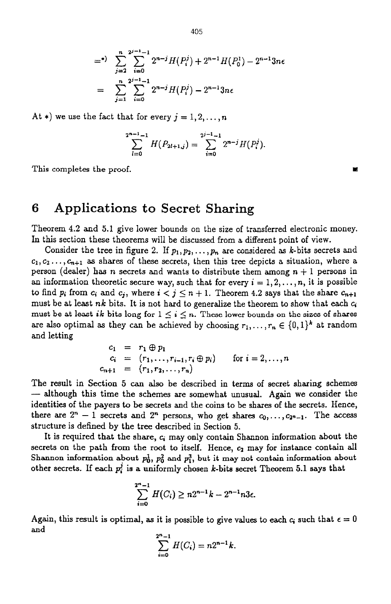$$
=*) \sum_{j=2}^{n} \sum_{i=0}^{2^{j-1}-1} 2^{n-j} H(P_i^j) + 2^{n-1} H(P_0^1) - 2^{n-1} 3n\epsilon
$$
  
= 
$$
\sum_{j=1}^{n} \sum_{i=0}^{2^{j-1}-1} 2^{n-j} H(P_i^j) - 2^{n-1} 3n\epsilon
$$

At  $\ast$ ) we use the fact that for every  $j = 1, 2, \ldots, n$ 

$$
\sum_{l=0}^{2^{n-1}-1} H(P_{2l+1,j}) = \sum_{i=0}^{2^{j-1}-1} 2^{n-j} H(P_i^j).
$$

**This** completes **the proof.** 

## **6 Applications to Secret** Sharing

Theorem 4.2 and 5.1 give lower bounds on the size of transferred electronic money. In this section these theorems will be discussed from a different point of view.

Consider the tree in figure 2. If  $p_1, p_2, \ldots, p_n$  are considered as *k*-bits secrets and  $c_1, c_2, \ldots, c_{n+1}$  as shares of these secrets, then this tree depicts a situation, where a person (dealer) has *n* secrets and wants to distribute them among **n** + 1 persons in an information theoretic secure way, such that for every  $i = 1, 2, \ldots, n$ , it is possible to find  $p_i$  from  $c_i$  and  $c_j$ , where  $i < j \leq n+1$ . Theorem 4.2 says that the share  $c_{n+1}$ must be at least *nk* bits. It is not hard to generalize the theorem to show that each **ci**  must be at least *ik* bits long for  $1 \leq i \leq n$ . These lower bounds on the sizes of shares are also optimal as they can be achieved by choosing  $r_1, \ldots, r_n \in \{0,1\}^k$  at random and letting

$$
c_1 = r_1 \oplus p_1 \nc_i = (r_1, ..., r_{i-1}, r_i \oplus p_i) \quad \text{for } i = 2, ..., n \nc_{n+1} = (r_1, r_2, ..., r_n)
$$

The result in Section 5 *can* **also** be described in tenm of secret sharing schemes The result in Section 5 can also be described in terms of secret sharing schemes  $-$  although this time the schemes are somewhat unusual. Again we consider the identities of the payers to be secrets and the coins to be shares of the secrets. Hence, there are  $2^n - 1$  secrets and  $2^n$  persons, who get shares  $c_0, \ldots, c_{2^n-1}$ . The access structure is defined by the tree described in Section *5.* 

It is required that the share, **q** may only contain Shannon information about the secrets on the path from the root to itself. Hence,  $c_2$  may for instance contain all Shannon information about  $p_0^1$ ,  $p_0^2$  and  $p_1^3$ , but it may not contain information about other secrets. If each  $p_i^j$  is a uniformly chosen k-bits secret Theorem 5.1 says that

$$
\sum_{i=0}^{2^{n}-1} H(C_i) \geq n2^{n-1}k - 2^{n-1}n3\epsilon.
$$

Again, this result is optimal, as it is possible to give values to each  $c_i$  such that  $\epsilon = 0$ **and** 

$$
\sum_{i=0}^{2^n-1} H(C_i) = n2^{n-1}k.
$$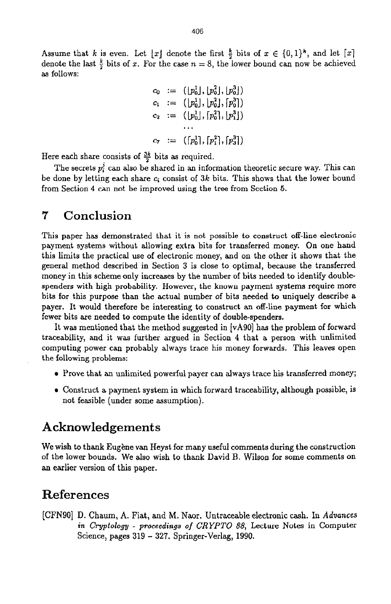Assume that *k* is even. Let  $\lfloor x \rfloor$  denote the first  $\frac{k}{2}$  bits of  $x \in \{0,1\}^k$ , and let  $\lceil x \rceil$ denote the last  $\frac{k}{2}$  bits of *x*. For the case  $n = 8$ , the lower bound can now be achieved **as** follows:

$$
c_0 := ([p_0^1], [p_0^2], [p_0^3])
$$
  
\n
$$
c_1 := ([p_0^1], [p_0^2], [p_0^3])
$$
  
\n
$$
c_2 := ([p_0^1], [p_0^2], [p_1^3])
$$
  
\n...  
\n
$$
c_7 := ([p_0^1], [p_1^2], [p_3^3])
$$

Here each share consists of  $\frac{3k}{2}$  bits as required.

The secrets  $p_i^j$  can also be shared in an information theoretic secure way. This can be done by letting each share **c;** consist of *3k* bits. This **shows** that the lower bound from Section **4 can** not **be** improved using the tree from Scction *5.* 

## *7* **Conclusion**

This paper has demonstrated **that** it **is not possible** to construct off-line electronic payment systems without allowing extra bits for transferred money. On one hand this limits the practical use of electronic money, and on the other it shows that the general method described in Section **3** is close to optimal, because the transferred money in this scheme only increases by the number of bits needed to identify doublespenders with high probability. **However,** the **known** payment systems require more bits for this purpose than the actual number of bits needed to uniquely describe a payer. It would therefore be interesting to construct **an off-line** payment for which fewer bits are needed to compute the identity of double-spenders.

It was mentioned that the method suggested in **[vA90]** has the problem of forward traceability, **and** it **was** further argued in Section **4** that a person with unlimited computing power can probably always trace his money forwards. This leaves open the following problems:

- *<sup>0</sup>*Prove that **an** unlimited powerful payer can always trace his transferred money;
- Construct a payment system in which forward traceability, although possible, is not feasible (under some assumption).

## **Acknowledgements**

We wish to thank Eugene **van** Heyst for many useful comments during the construction of the lower bounds. We also wish to thank David B. Wilson for some comments on **an** earlier version of this **paper.** 

## **References**

[CFNSO] D. Chaum, **A.** Fiat, and M. Naor. Untraceable electronic cash. In **Advances**  *in Cryptology* - *proceedings of CRYPT0 88,* Lecture Notes in Computer Science, pages **319** - **327.** Springer-Verlag, 1990.